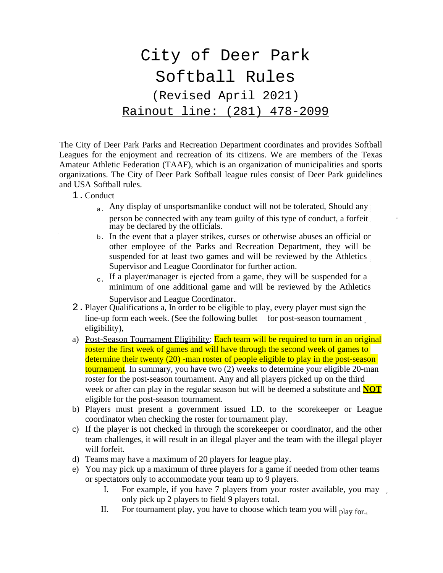## City of Deer Park Softball Rules (Revised April 2021) Rainout line: (281) 478-2099

The City of Deer Park Parks and Recreation Department coordinates and provides Softball Leagues for the enjoyment and recreation of its citizens. We are members of the Texas Amateur Athletic Federation (TAAF), which is an organization of municipalities and sports organizations. The City of Deer Park Softball league rules consist of Deer Park guidelines and USA Softball rules.

- 1.Conduct
	- a. Any display of unsportsmanlike conduct will not be tolerated, Should any person be connected with any team guilty of this type of conduct, a forfeit may be declared by the officials.
	- b. In the event that a player strikes, curses or otherwise abuses an official or other employee of the Parks and Recreation Department, they will be suspended for at least two games and will be reviewed by the Athletics Supervisor and League Coordinator for further action.
	- $_{c}$ . If a player/manager is ejected from a game, they will be suspended for a minimum of one additional game and will be reviewed by the Athletics Supervisor and League Coordinator.
- 2.Player Qualifications a, In order to be eligible to play, every player must sign the line-up form each week. (See the following bullet for post-season tournament eligibility),
- a) Post-Season Tournament Eligibility: Each team will be required to turn in an original roster the first week of games and will have through the second week of games to determine their twenty (20) -man roster of people eligible to play in the post-season tournament. In summary, you have two (2) weeks to determine your eligible 20-man roster for the post-season tournament. Any and all players picked up on the third week or after can play in the regular season but will be deemed a substitute and **NOT** eligible for the post-season tournament.
- b) Players must present a government issued I.D. to the scorekeeper or League coordinator when checking the roster for tournament play.
- c) If the player is not checked in through the scorekeeper or coordinator, and the other team challenges, it will result in an illegal player and the team with the illegal player will forfeit.
- d) Teams may have a maximum of 20 players for league play.
- e) You may pick up a maximum of three players for a game if needed from other teams or spectators only to accommodate your team up to 9 players.
	- I. For example, if you have 7 players from your roster available, you may only pick up 2 players to field 9 players total.
	- II. For tournament play, you have to choose which team you will  $_{\text{play for}}$ .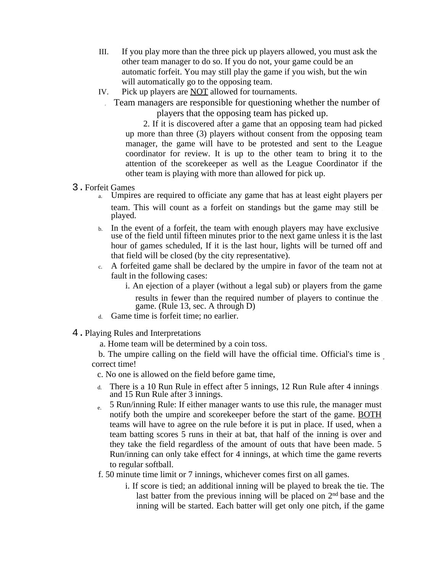- III. If you play more than the three pick up players allowed, you must ask the other team manager to do so. If you do not, your game could be an automatic forfeit. You may still play the game if you wish, but the win will automatically go to the opposing team.
- IV. Pick up players are NOT allowed for tournaments.
	- Team managers are responsible for questioning whether the number of players that the opposing team has picked up.

2. If it is discovered after a game that an opposing team had picked up more than three (3) players without consent from the opposing team manager, the game will have to be protested and sent to the League coordinator for review. It is up to the other team to bring it to the attention of the scorekeeper as well as the League Coordinator if the other team is playing with more than allowed for pick up.

- 3.Forfeit Games
	- Umpires are required to officiate any game that has at least eight players per team. This will count as a forfeit on standings but the game may still be played.
	- b. In the event of a forfeit, the team with enough players may have exclusive use of the field until fifteen minutes prior to the next game unless it is the last hour of games scheduled, If it is the last hour, lights will be turned off and that field will be closed (by the city representative).
	- c. A forfeited game shall be declared by the umpire in favor of the team not at fault in the following cases:
		- i. An ejection of a player (without a legal sub) or players from the game results in fewer than the required number of players to continue the game. (Rule 13, sec. A through D)
	- d. Game time is forfeit time; no earlier.
- 4.Playing Rules and Interpretations
	- a. Home team will be determined by a coin toss.

b. The umpire calling on the field will have the official time. Official's time is correct time!

- c. No one is allowed on the field before game time,
- d. There is a 10 Run Rule in effect after 5 innings, 12 Run Rule after 4 innings and 15 Run Rule after 3 innings.
- $_{\rm e}$  5 Run/inning Rule: If either manager wants to use this rule, the manager must notify both the umpire and scorekeeper before the start of the game. BOTH teams will have to agree on the rule before it is put in place. If used, when a team batting scores 5 runs in their at bat, that half of the inning is over and they take the field regardless of the amount of outs that have been made. 5 Run/inning can only take effect for 4 innings, at which time the game reverts to regular softball.
- f. 50 minute time limit or 7 innings, whichever comes first on all games.
	- i. If score is tied; an additional inning will be played to break the tie. The last batter from the previous inning will be placed on 2<sup>nd</sup> base and the inning will be started. Each batter will get only one pitch, if the game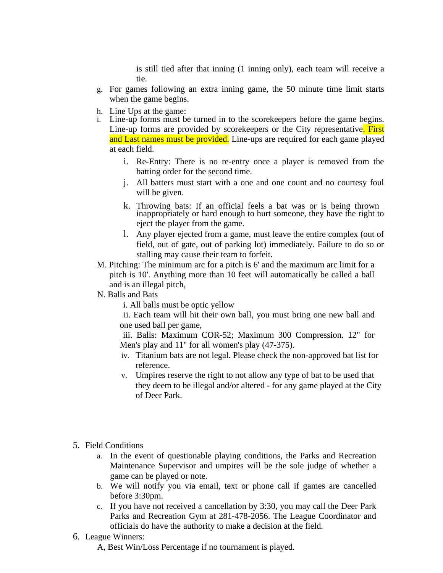is still tied after that inning (1 inning only), each team will receive a tie.

- g. For games following an extra inning game, the 50 minute time limit starts when the game begins.
- h. Line Ups at the game:
- i. Line-up forms must be turned in to the scorekeepers before the game begins. Line-up forms are provided by scorekeepers or the City representative. First and Last names must be provided. Line-ups are required for each game played at each field.
	- i. Re-Entry: There is no re-entry once a player is removed from the batting order for the second time.
	- j. All batters must start with a one and one count and no courtesy foul will be given.
	- k. Throwing bats: If an official feels a bat was or is being thrown inappropriately or hard enough to hurt someone, they have the right to eject the player from the game.
	- l. Any player ejected from a game, must leave the entire complex (out of field, out of gate, out of parking lot) immediately. Failure to do so or stalling may cause their team to forfeit.
- M. Pitching: The minimum arc for a pitch is 6' and the maximum arc limit for a pitch is 10'. Anything more than 10 feet will automatically be called a ball and is an illegal pitch,
- N. Balls and Bats

i. All balls must be optic yellow

ii. Each team will hit their own ball, you must bring one new ball and one used ball per game,

iii. Balls: Maximum COR-52; Maximum 300 Compression. 12" for Men's play and 11" for all women's play (47-375).

- iv. Titanium bats are not legal. Please check the non-approved bat list for reference.
- v. Umpires reserve the right to not allow any type of bat to be used that they deem to be illegal and/or altered - for any game played at the City of Deer Park.
- 5. Field Conditions
	- a. In the event of questionable playing conditions, the Parks and Recreation Maintenance Supervisor and umpires will be the sole judge of whether a game can be played or note.
	- b. We will notify you via email, text or phone call if games are cancelled before 3:30pm.
	- c. If you have not received a cancellation by 3:30, you may call the Deer Park Parks and Recreation Gym at 281-478-2056. The League Coordinator and officials do have the authority to make a decision at the field.
- 6. League Winners:
	- A, Best Win/Loss Percentage if no tournament is played.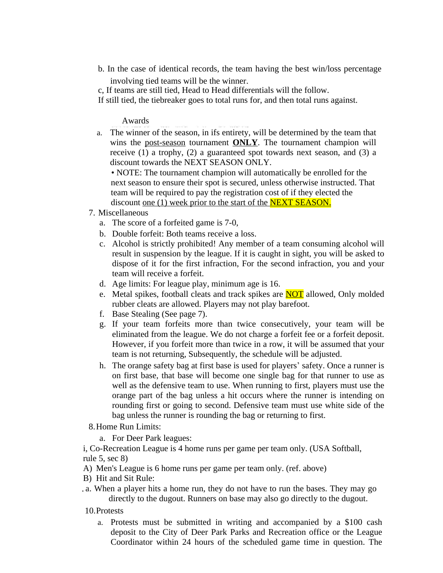b. In the case of identical records, the team having the best win/loss percentage

involving tied teams will be the winner.

c, If teams are still tied, Head to Head differentials will the follow.

If still tied, the tiebreaker goes to total runs for, and then total runs against.

## Awards

a. The winner of the season, in ifs entirety, will be determined by the team that wins the post-season tournament **ONLY**. The tournament champion will receive (1) a trophy, (2) a guaranteed spot towards next season, and (3) a discount towards the NEXT SEASON ONLY.

• NOTE: The tournament champion will automatically be enrolled for the next season to ensure their spot is secured, unless otherwise instructed. That team will be required to pay the registration cost of if they elected the discount <u>one</u> (1) week prior to the start of the **NEXT SEASON**.

- 7. Miscellaneous
	- a. The score of a forfeited game is 7-0,
	- b. Double forfeit: Both teams receive a loss.
	- c. Alcohol is strictly prohibited! Any member of a team consuming alcohol will result in suspension by the league. If it is caught in sight, you will be asked to dispose of it for the first infraction, For the second infraction, you and your team will receive a forfeit.
	- d. Age limits: For league play, minimum age is 16.
	- e. Metal spikes, football cleats and track spikes are **NOT** allowed, Only molded rubber cleats are allowed. Players may not play barefoot.
	- f. Base Stealing (See page 7).
	- g. If your team forfeits more than twice consecutively, your team will be eliminated from the league. We do not charge a forfeit fee or a forfeit deposit. However, if you forfeit more than twice in a row, it will be assumed that your team is not returning, Subsequently, the schedule will be adjusted.
	- h. The orange safety bag at first base is used for players' safety. Once a runner is on first base, that base will become one single bag for that runner to use as well as the defensive team to use. When running to first, players must use the orange part of the bag unless a hit occurs where the runner is intending on rounding first or going to second. Defensive team must use white side of the bag unless the runner is rounding the bag or returning to first.
- 8.Home Run Limits:
	- a. For Deer Park leagues:

i, Co-Recreation League is 4 home runs per game per team only. (USA Softball, rule 5, sec 8)

A) Men's League is 6 home runs per game per team only. (ref. above)

- B) Hit and Sit Rule:
- a. When a player hits a home run, they do not have to run the bases. They may go directly to the dugout. Runners on base may also go directly to the dugout.

10.Protests

a. Protests must be submitted in writing and accompanied by a \$100 cash deposit to the City of Deer Park Parks and Recreation office or the League Coordinator within 24 hours of the scheduled game time in question. The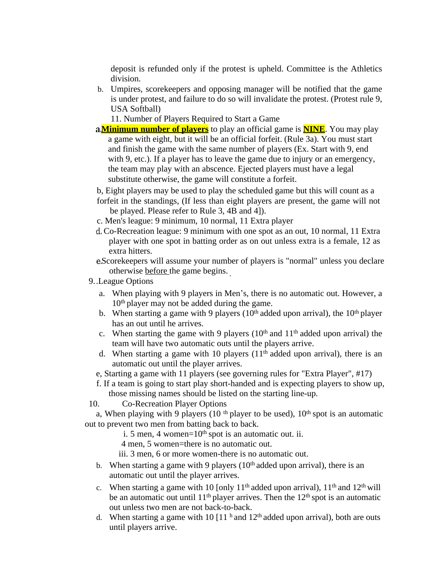deposit is refunded only if the protest is upheld. Committee is the Athletics division.

b. Umpires, scorekeepers and opposing manager will be notified that the game is under protest, and failure to do so will invalidate the protest. (Protest rule 9, USA Softball)

11. Number of Players Required to Start a Game

**Minimum number of players** to play an official game is **NINE**. You may play a game with eight, but it will be an official forfeit. (Rule 3a). You must start and finish the game with the same number of players (Ex. Start with 9, end with 9, etc.). If a player has to leave the game due to injury or an emergency, the team may play with an abscence. Ejected players must have a legal substitute otherwise, the game will constitute a forfeit.

b, Eight players may be used to play the scheduled game but this will count as a

- forfeit in the standings, (If less than eight players are present, the game will not be played. Please refer to Rule 3, 4B and 4]).
- c. Men's league: 9 minimum, 10 normal, 11 Extra player
- Co-Recreation league: 9 minimum with one spot as an out, 10 normal, 11 Extra player with one spot in batting order as on out unless extra is a female, 12 as extra hitters.
- Scorekeepers will assume your number of players is "normal" unless you declare otherwise before the game begins.
- 9..League Options
	- a. When playing with 9 players in Men's, there is no automatic out. However, a 10th player may not be added during the game.
	- b. When starting a game with 9 players ( $10<sup>th</sup>$  added upon arrival), the  $10<sup>th</sup>$  player has an out until he arrives.
	- c. When starting the game with 9 players  $(10<sup>th</sup>$  and  $11<sup>th</sup>$  added upon arrival) the team will have two automatic outs until the players arrive.
	- d. When starting a game with 10 players  $(11<sup>th</sup>$  added upon arrival), there is an automatic out until the player arrives.
	- e, Starting a game with 11 players (see governing rules for "Extra Player", #17)
	- f. If a team is going to start play short-handed and is expecting players to show up, those missing names should be listed on the starting line-up.

10. Co-Recreation Player Options

a, When playing with 9 players (10<sup>th</sup> player to be used),  $10<sup>th</sup>$  spot is an automatic out to prevent two men from batting back to back.

- i. 5 men, 4 women= $10<sup>th</sup>$  spot is an automatic out. ii.
- 4 men, 5 women=there is no automatic out.
- iii. 3 men, 6 or more women-there is no automatic out.
- b. When starting a game with 9 players  $(10<sup>th</sup>$  added upon arrival), there is an automatic out until the player arrives.
- c. When starting a game with 10 [only  $11<sup>th</sup>$  added upon arrival),  $11<sup>th</sup>$  and  $12<sup>th</sup>$  will be an automatic out until  $11<sup>th</sup>$  player arrives. Then the  $12<sup>th</sup>$  spot is an automatic out unless two men are not back-to-back.
- d. When starting a game with 10  $[11<sup>h</sup>$  and  $12<sup>th</sup>$  added upon arrival), both are outs until players arrive.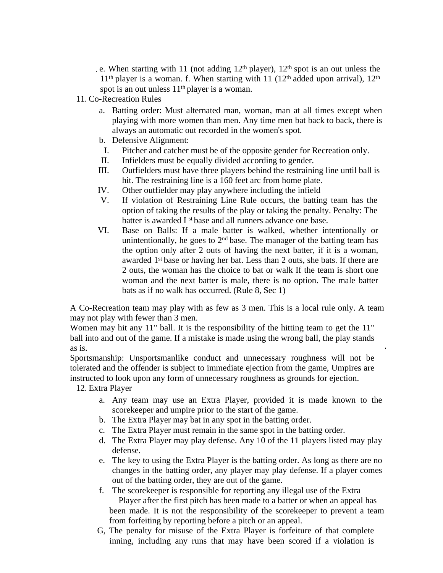e. When starting with 11 (not adding  $12<sup>th</sup>$  player),  $12<sup>th</sup>$  spot is an out unless the  $11<sup>th</sup>$  player is a woman. f. When starting with 11 (12<sup>th</sup> added upon arrival),  $12<sup>th</sup>$ spot is an out unless  $11<sup>th</sup>$  player is a woman.

- 11. Co-Recreation Rules
	- a. Batting order: Must alternated man, woman, man at all times except when playing with more women than men. Any time men bat back to back, there is always an automatic out recorded in the women's spot.
	- b. Defensive Alignment:
	- I. Pitcher and catcher must be of the opposite gender for Recreation only.
	- II. Infielders must be equally divided according to gender.
	- III. Outfielders must have three players behind the restraining line until ball is hit. The restraining line is a 160 feet arc from home plate.
	- IV. Other outfielder may play anywhere including the infield
	- V. If violation of Restraining Line Rule occurs, the batting team has the option of taking the results of the play or taking the penalty. Penalty: The batter is awarded I <sup>st</sup> base and all runners advance one base.
	- VI. Base on Balls: If a male batter is walked, whether intentionally or unintentionally, he goes to  $2<sup>nd</sup>$  base. The manager of the batting team has the option only after 2 outs of having the next batter, if it is a woman, awarded 1<sup>st</sup> base or having her bat. Less than 2 outs, she bats. If there are 2 outs, the woman has the choice to bat or walk If the team is short one woman and the next batter is male, there is no option. The male batter bats as if no walk has occurred. (Rule 8, Sec 1)

A Co-Recreation team may play with as few as 3 men. This is a local rule only. A team may not play with fewer than 3 men.

Women may hit any 11" ball. It is the responsibility of the hitting team to get the 11" ball into and out of the game. If a mistake is made using the wrong ball, the play stands as is.

Sportsmanship: Unsportsmanlike conduct and unnecessary roughness will not be tolerated and the offender is subject to immediate ejection from the game, Umpires are instructed to look upon any form of unnecessary roughness as grounds for ejection.

12. Extra Player

- a. Any team may use an Extra Player, provided it is made known to the scorekeeper and umpire prior to the start of the game.
- b. The Extra Player may bat in any spot in the batting order.
- c. The Extra Player must remain in the same spot in the batting order.
- d. The Extra Player may play defense. Any 10 of the 11 players listed may play defense.
- e. The key to using the Extra Player is the batting order. As long as there are no changes in the batting order, any player may play defense. If a player comes out of the batting order, they are out of the game.
- f. The scorekeeper is responsible for reporting any illegal use of the Extra Player after the first pitch has been made to a batter or when an appeal has been made. It is not the responsibility of the scorekeeper to prevent a team from forfeiting by reporting before a pitch or an appeal.
- G, The penalty for misuse of the Extra Player is forfeiture of that complete inning, including any runs that may have been scored if a violation is